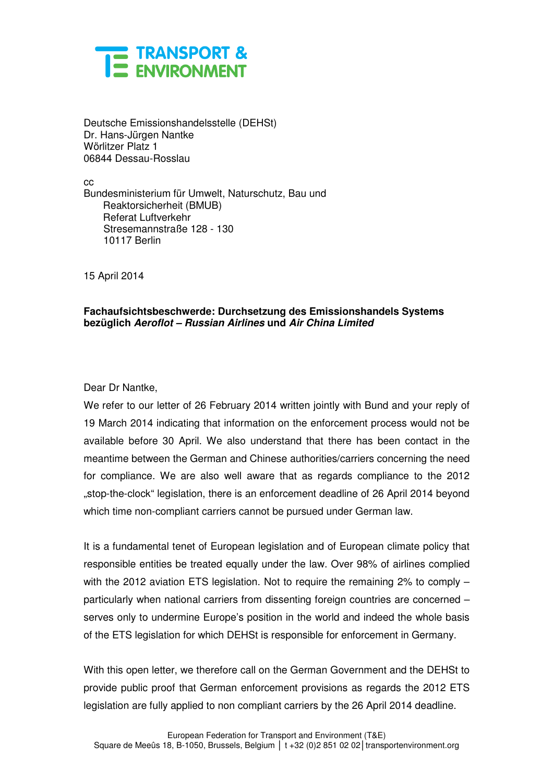

Deutsche Emissionshandelsstelle (DEHSt) Dr. Hans-Jürgen Nantke Wörlitzer Platz 1 06844 Dessau-Rosslau

cc Bundesministerium für Umwelt, Naturschutz, Bau und Reaktorsicherheit (BMUB) Referat Luftverkehr Stresemannstraße 128 - 130 10117 Berlin

15 April 2014

## **Fachaufsichtsbeschwerde: Durchsetzung des Emissionshandels Systems bezüglich Aeroflot – Russian Airlines und Air China Limited**

## Dear Dr Nantke,

We refer to our letter of 26 February 2014 written jointly with Bund and your reply of 19 March 2014 indicating that information on the enforcement process would not be available before 30 April. We also understand that there has been contact in the meantime between the German and Chinese authorities/carriers concerning the need for compliance. We are also well aware that as regards compliance to the 2012 "stop-the-clock" legislation, there is an enforcement deadline of 26 April 2014 beyond which time non-compliant carriers cannot be pursued under German law.

It is a fundamental tenet of European legislation and of European climate policy that responsible entities be treated equally under the law. Over 98% of airlines complied with the 2012 aviation ETS legislation. Not to require the remaining 2% to comply – particularly when national carriers from dissenting foreign countries are concerned – serves only to undermine Europe's position in the world and indeed the whole basis of the ETS legislation for which DEHSt is responsible for enforcement in Germany.

With this open letter, we therefore call on the German Government and the DEHSt to provide public proof that German enforcement provisions as regards the 2012 ETS legislation are fully applied to non compliant carriers by the 26 April 2014 deadline.